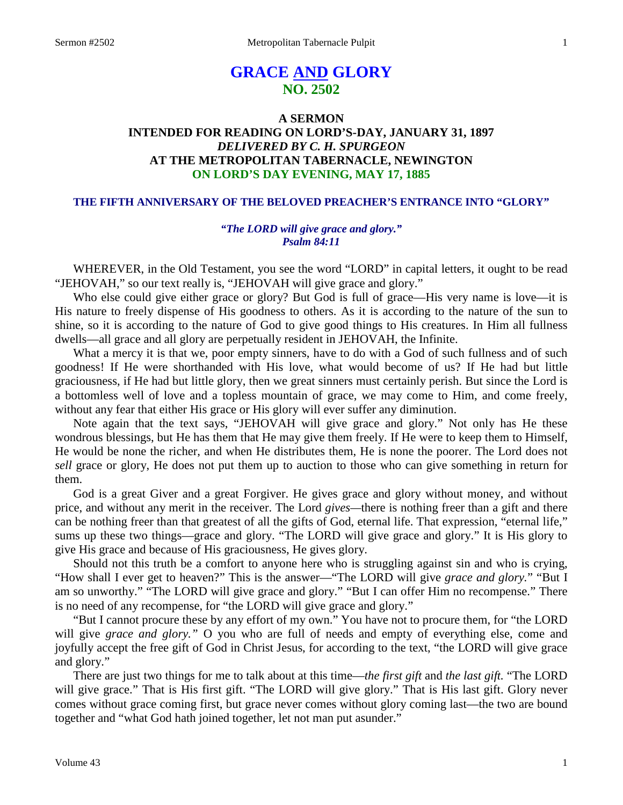# **GRACE AND GLORY NO. 2502**

# **A SERMON INTENDED FOR READING ON LORD'S-DAY, JANUARY 31, 1897** *DELIVERED BY C. H. SPURGEON* **AT THE METROPOLITAN TABERNACLE, NEWINGTON ON LORD'S DAY EVENING, MAY 17, 1885**

### **THE FIFTH ANNIVERSARY OF THE BELOVED PREACHER'S ENTRANCE INTO "GLORY"**

### *"The LORD will give grace and glory." Psalm 84:11*

WHEREVER, in the Old Testament, you see the word "LORD" in capital letters, it ought to be read "JEHOVAH," so our text really is, "JEHOVAH will give grace and glory."

Who else could give either grace or glory? But God is full of grace—His very name is love—it is His nature to freely dispense of His goodness to others. As it is according to the nature of the sun to shine, so it is according to the nature of God to give good things to His creatures. In Him all fullness dwells—all grace and all glory are perpetually resident in JEHOVAH, the Infinite.

What a mercy it is that we, poor empty sinners, have to do with a God of such fullness and of such goodness! If He were shorthanded with His love, what would become of us? If He had but little graciousness, if He had but little glory, then we great sinners must certainly perish. But since the Lord is a bottomless well of love and a topless mountain of grace, we may come to Him, and come freely, without any fear that either His grace or His glory will ever suffer any diminution.

Note again that the text says, "JEHOVAH will give grace and glory." Not only has He these wondrous blessings, but He has them that He may give them freely. If He were to keep them to Himself, He would be none the richer, and when He distributes them, He is none the poorer. The Lord does not *sell* grace or glory, He does not put them up to auction to those who can give something in return for them.

God is a great Giver and a great Forgiver. He gives grace and glory without money, and without price, and without any merit in the receiver. The Lord *gives—*there is nothing freer than a gift and there can be nothing freer than that greatest of all the gifts of God, eternal life. That expression, "eternal life," sums up these two things—grace and glory. "The LORD will give grace and glory." It is His glory to give His grace and because of His graciousness, He gives glory.

Should not this truth be a comfort to anyone here who is struggling against sin and who is crying, "How shall I ever get to heaven?" This is the answer—"The LORD will give *grace and glory.*" "But I am so unworthy." "The LORD will give grace and glory." "But I can offer Him no recompense." There is no need of any recompense, for "the LORD will give grace and glory."

"But I cannot procure these by any effort of my own." You have not to procure them, for "the LORD will give *grace and glory.*" O you who are full of needs and empty of everything else, come and joyfully accept the free gift of God in Christ Jesus, for according to the text, "the LORD will give grace and glory."

There are just two things for me to talk about at this time—*the first gift* and *the last gift.* "The LORD will give grace." That is His first gift. "The LORD will give glory." That is His last gift. Glory never comes without grace coming first, but grace never comes without glory coming last—the two are bound together and "what God hath joined together, let not man put asunder."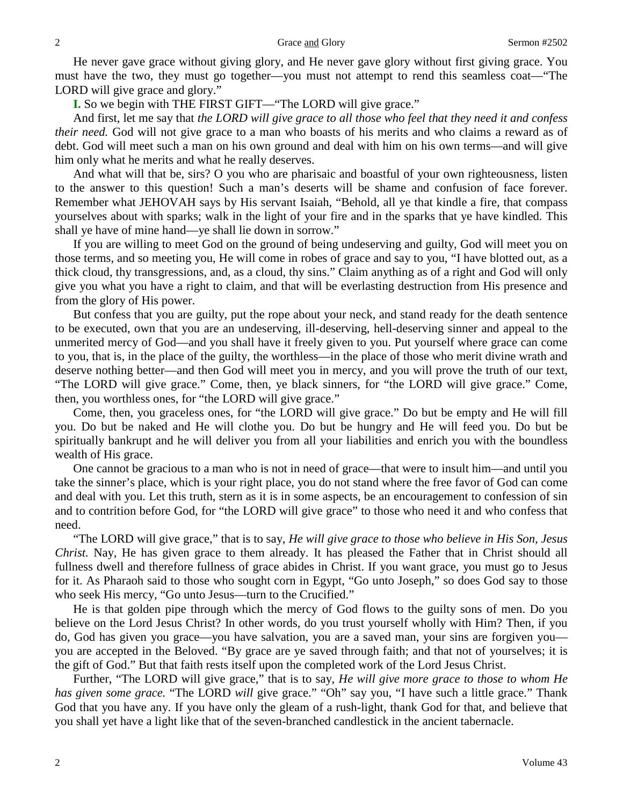He never gave grace without giving glory, and He never gave glory without first giving grace. You must have the two, they must go together—you must not attempt to rend this seamless coat—"The LORD will give grace and glory."

**I.** So we begin with THE FIRST GIFT—"The LORD will give grace."

And first, let me say that *the LORD will give grace to all those who feel that they need it and confess their need.* God will not give grace to a man who boasts of his merits and who claims a reward as of debt. God will meet such a man on his own ground and deal with him on his own terms—and will give him only what he merits and what he really deserves.

And what will that be, sirs? O you who are pharisaic and boastful of your own righteousness, listen to the answer to this question! Such a man's deserts will be shame and confusion of face forever. Remember what JEHOVAH says by His servant Isaiah, "Behold, all ye that kindle a fire, that compass yourselves about with sparks; walk in the light of your fire and in the sparks that ye have kindled. This shall ye have of mine hand—ye shall lie down in sorrow."

If you are willing to meet God on the ground of being undeserving and guilty, God will meet you on those terms, and so meeting you, He will come in robes of grace and say to you, "I have blotted out, as a thick cloud, thy transgressions, and, as a cloud, thy sins." Claim anything as of a right and God will only give you what you have a right to claim, and that will be everlasting destruction from His presence and from the glory of His power.

But confess that you are guilty, put the rope about your neck, and stand ready for the death sentence to be executed, own that you are an undeserving, ill-deserving, hell-deserving sinner and appeal to the unmerited mercy of God—and you shall have it freely given to you. Put yourself where grace can come to you, that is, in the place of the guilty, the worthless—in the place of those who merit divine wrath and deserve nothing better—and then God will meet you in mercy, and you will prove the truth of our text, "The LORD will give grace." Come, then, ye black sinners, for "the LORD will give grace." Come, then, you worthless ones, for "the LORD will give grace."

Come, then, you graceless ones, for "the LORD will give grace." Do but be empty and He will fill you. Do but be naked and He will clothe you. Do but be hungry and He will feed you. Do but be spiritually bankrupt and he will deliver you from all your liabilities and enrich you with the boundless wealth of His grace.

One cannot be gracious to a man who is not in need of grace—that were to insult him—and until you take the sinner's place, which is your right place, you do not stand where the free favor of God can come and deal with you. Let this truth, stern as it is in some aspects, be an encouragement to confession of sin and to contrition before God, for "the LORD will give grace" to those who need it and who confess that need.

"The LORD will give grace," that is to say, *He will give grace to those who believe in His Son, Jesus Christ.* Nay, He has given grace to them already. It has pleased the Father that in Christ should all fullness dwell and therefore fullness of grace abides in Christ. If you want grace, you must go to Jesus for it. As Pharaoh said to those who sought corn in Egypt, "Go unto Joseph," so does God say to those who seek His mercy, "Go unto Jesus—turn to the Crucified."

He is that golden pipe through which the mercy of God flows to the guilty sons of men. Do you believe on the Lord Jesus Christ? In other words, do you trust yourself wholly with Him? Then, if you do, God has given you grace—you have salvation, you are a saved man, your sins are forgiven you you are accepted in the Beloved. "By grace are ye saved through faith; and that not of yourselves; it is the gift of God." But that faith rests itself upon the completed work of the Lord Jesus Christ.

Further, "The LORD will give grace," that is to say, *He will give more grace to those to whom He has given some grace.* "The LORD *will* give grace." "Oh" say you, "I have such a little grace." Thank God that you have any. If you have only the gleam of a rush-light, thank God for that, and believe that you shall yet have a light like that of the seven-branched candlestick in the ancient tabernacle.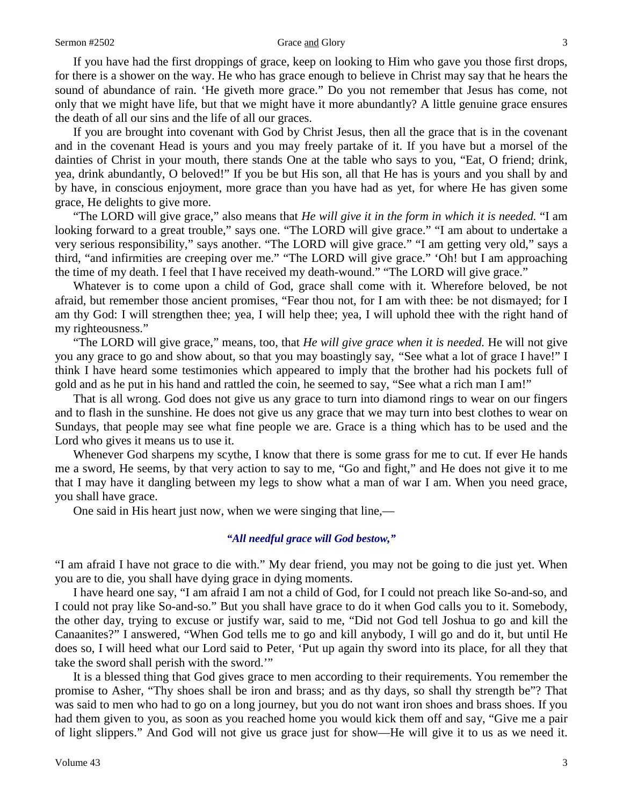#### Sermon #2502 Grace and Glory 3

If you have had the first droppings of grace, keep on looking to Him who gave you those first drops, for there is a shower on the way. He who has grace enough to believe in Christ may say that he hears the sound of abundance of rain. 'He giveth more grace." Do you not remember that Jesus has come, not only that we might have life, but that we might have it more abundantly? A little genuine grace ensures the death of all our sins and the life of all our graces.

If you are brought into covenant with God by Christ Jesus, then all the grace that is in the covenant and in the covenant Head is yours and you may freely partake of it. If you have but a morsel of the dainties of Christ in your mouth, there stands One at the table who says to you, "Eat, O friend; drink, yea, drink abundantly, O beloved!" If you be but His son, all that He has is yours and you shall by and by have, in conscious enjoyment, more grace than you have had as yet, for where He has given some grace, He delights to give more.

"The LORD will give grace," also means that *He will give it in the form in which it is needed.* "I am looking forward to a great trouble," says one. "The LORD will give grace." "I am about to undertake a very serious responsibility," says another. "The LORD will give grace." "I am getting very old," says a third, "and infirmities are creeping over me." "The LORD will give grace." 'Oh! but I am approaching the time of my death. I feel that I have received my death-wound." "The LORD will give grace."

Whatever is to come upon a child of God, grace shall come with it. Wherefore beloved, be not afraid, but remember those ancient promises, "Fear thou not, for I am with thee: be not dismayed; for I am thy God: I will strengthen thee; yea, I will help thee; yea, I will uphold thee with the right hand of my righteousness."

"The LORD will give grace," means, too, that *He will give grace when it is needed.* He will not give you any grace to go and show about, so that you may boastingly say, *"*See what a lot of grace I have!" I think I have heard some testimonies which appeared to imply that the brother had his pockets full of gold and as he put in his hand and rattled the coin, he seemed to say, "See what a rich man I am!"

That is all wrong. God does not give us any grace to turn into diamond rings to wear on our fingers and to flash in the sunshine. He does not give us any grace that we may turn into best clothes to wear on Sundays, that people may see what fine people we are. Grace is a thing which has to be used and the Lord who gives it means us to use it.

Whenever God sharpens my scythe, I know that there is some grass for me to cut. If ever He hands me a sword, He seems, by that very action to say to me, "Go and fight," and He does not give it to me that I may have it dangling between my legs to show what a man of war I am. When you need grace, you shall have grace.

One said in His heart just now, when we were singing that line,—

### *"All needful grace will God bestow,"*

"I am afraid I have not grace to die with." My dear friend, you may not be going to die just yet. When you are to die, you shall have dying grace in dying moments.

I have heard one say, "I am afraid I am not a child of God, for I could not preach like So-and-so, and I could not pray like So-and-so." But you shall have grace to do it when God calls you to it. Somebody, the other day, trying to excuse or justify war, said to me, "Did not God tell Joshua to go and kill the Canaanites?" I answered, "When God tells me to go and kill anybody, I will go and do it, but until He does so, I will heed what our Lord said to Peter, 'Put up again thy sword into its place, for all they that take the sword shall perish with the sword.'"

It is a blessed thing that God gives grace to men according to their requirements. You remember the promise to Asher, "Thy shoes shall be iron and brass; and as thy days, so shall thy strength be"? That was said to men who had to go on a long journey, but you do not want iron shoes and brass shoes. If you had them given to you, as soon as you reached home you would kick them off and say, "Give me a pair of light slippers." And God will not give us grace just for show—He will give it to us as we need it.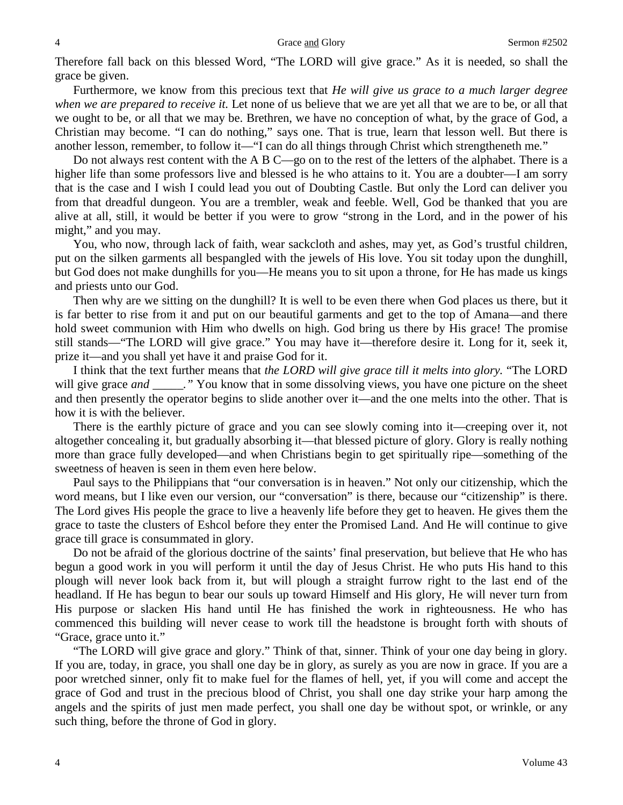Therefore fall back on this blessed Word, "The LORD will give grace." As it is needed, so shall the grace be given.

Furthermore, we know from this precious text that *He will give us grace to a much larger degree when we are prepared to receive it.* Let none of us believe that we are yet all that we are to be, or all that we ought to be, or all that we may be. Brethren, we have no conception of what, by the grace of God, a Christian may become. "I can do nothing," says one. That is true, learn that lesson well. But there is another lesson, remember, to follow it—"I can do all things through Christ which strengtheneth me*.*"

Do not always rest content with the A B C—go on to the rest of the letters of the alphabet. There is a higher life than some professors live and blessed is he who attains to it. You are a doubter—I am sorry that is the case and I wish I could lead you out of Doubting Castle. But only the Lord can deliver you from that dreadful dungeon. You are a trembler, weak and feeble. Well, God be thanked that you are alive at all, still, it would be better if you were to grow "strong in the Lord, and in the power of his might," and you may.

You, who now, through lack of faith, wear sackcloth and ashes, may yet, as God's trustful children, put on the silken garments all bespangled with the jewels of His love. You sit today upon the dunghill, but God does not make dunghills for you—He means you to sit upon a throne, for He has made us kings and priests unto our God.

Then why are we sitting on the dunghill? It is well to be even there when God places us there, but it is far better to rise from it and put on our beautiful garments and get to the top of Amana—and there hold sweet communion with Him who dwells on high. God bring us there by His grace! The promise still stands—"The LORD will give grace." You may have it—therefore desire it. Long for it, seek it, prize it—and you shall yet have it and praise God for it.

I think that the text further means that *the LORD will give grace till it melts into glory.* "The LORD will give grace *and* \_\_\_\_\_." You know that in some dissolving views, you have one picture on the sheet and then presently the operator begins to slide another over it—and the one melts into the other. That is how it is with the believer.

There is the earthly picture of grace and you can see slowly coming into it—creeping over it, not altogether concealing it, but gradually absorbing it—that blessed picture of glory. Glory is really nothing more than grace fully developed—and when Christians begin to get spiritually ripe—something of the sweetness of heaven is seen in them even here below.

Paul says to the Philippians that "our conversation is in heaven." Not only our citizenship, which the word means, but I like even our version, our "conversation" is there, because our "citizenship" is there. The Lord gives His people the grace to live a heavenly life before they get to heaven. He gives them the grace to taste the clusters of Eshcol before they enter the Promised Land. And He will continue to give grace till grace is consummated in glory.

Do not be afraid of the glorious doctrine of the saints' final preservation, but believe that He who has begun a good work in you will perform it until the day of Jesus Christ. He who puts His hand to this plough will never look back from it, but will plough a straight furrow right to the last end of the headland. If He has begun to bear our souls up toward Himself and His glory, He will never turn from His purpose or slacken His hand until He has finished the work in righteousness. He who has commenced this building will never cease to work till the headstone is brought forth with shouts of "Grace, grace unto it."

"The LORD will give grace and glory." Think of that, sinner. Think of your one day being in glory. If you are, today, in grace, you shall one day be in glory, as surely as you are now in grace. If you are a poor wretched sinner, only fit to make fuel for the flames of hell, yet, if you will come and accept the grace of God and trust in the precious blood of Christ, you shall one day strike your harp among the angels and the spirits of just men made perfect, you shall one day be without spot, or wrinkle, or any such thing, before the throne of God in glory.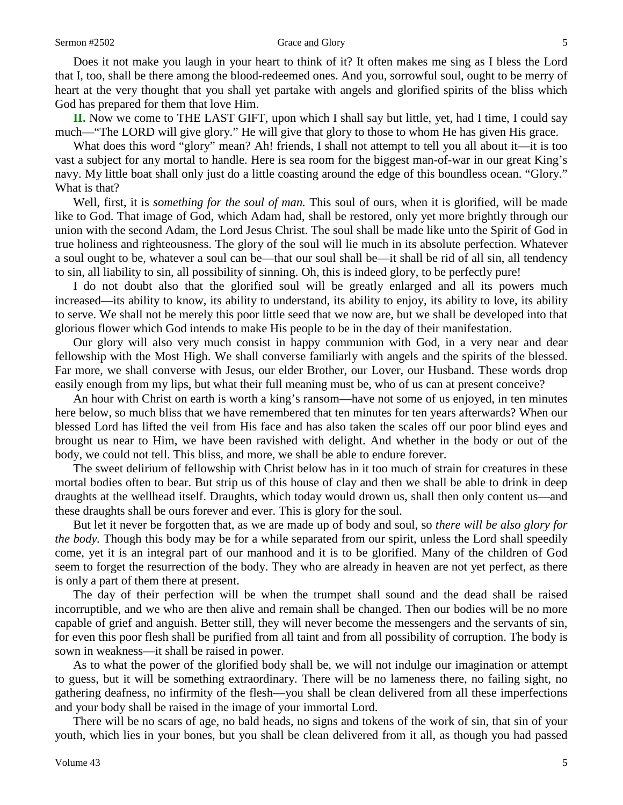#### Sermon #2502 Grace and Glory 5

Does it not make you laugh in your heart to think of it? It often makes me sing as I bless the Lord that I, too, shall be there among the blood-redeemed ones. And you, sorrowful soul, ought to be merry of heart at the very thought that you shall yet partake with angels and glorified spirits of the bliss which God has prepared for them that love Him.

**II.** Now we come to THE LAST GIFT, upon which I shall say but little, yet, had I time, I could say much—"The LORD will give glory." He will give that glory to those to whom He has given His grace.

What does this word "glory" mean? Ah! friends, I shall not attempt to tell you all about it—it is too vast a subject for any mortal to handle. Here is sea room for the biggest man-of-war in our great King's navy. My little boat shall only just do a little coasting around the edge of this boundless ocean. "Glory." What is that?

Well, first, it is *something for the soul of man.* This soul of ours, when it is glorified, will be made like to God. That image of God, which Adam had, shall be restored, only yet more brightly through our union with the second Adam, the Lord Jesus Christ. The soul shall be made like unto the Spirit of God in true holiness and righteousness. The glory of the soul will lie much in its absolute perfection. Whatever a soul ought to be, whatever a soul can be—that our soul shall be—it shall be rid of all sin, all tendency to sin, all liability to sin, all possibility of sinning. Oh, this is indeed glory, to be perfectly pure!

I do not doubt also that the glorified soul will be greatly enlarged and all its powers much increased—its ability to know, its ability to understand, its ability to enjoy, its ability to love, its ability to serve. We shall not be merely this poor little seed that we now are, but we shall be developed into that glorious flower which God intends to make His people to be in the day of their manifestation.

Our glory will also very much consist in happy communion with God, in a very near and dear fellowship with the Most High. We shall converse familiarly with angels and the spirits of the blessed. Far more, we shall converse with Jesus, our elder Brother, our Lover, our Husband. These words drop easily enough from my lips, but what their full meaning must be, who of us can at present conceive?

An hour with Christ on earth is worth a king's ransom—have not some of us enjoyed, in ten minutes here below, so much bliss that we have remembered that ten minutes for ten years afterwards? When our blessed Lord has lifted the veil from His face and has also taken the scales off our poor blind eyes and brought us near to Him, we have been ravished with delight. And whether in the body or out of the body, we could not tell. This bliss, and more, we shall be able to endure forever.

The sweet delirium of fellowship with Christ below has in it too much of strain for creatures in these mortal bodies often to bear. But strip us of this house of clay and then we shall be able to drink in deep draughts at the wellhead itself. Draughts, which today would drown us, shall then only content us—and these draughts shall be ours forever and ever. This is glory for the soul.

But let it never be forgotten that, as we are made up of body and soul, so *there will be also glory for the body.* Though this body may be for a while separated from our spirit, unless the Lord shall speedily come, yet it is an integral part of our manhood and it is to be glorified. Many of the children of God seem to forget the resurrection of the body. They who are already in heaven are not yet perfect, as there is only a part of them there at present.

The day of their perfection will be when the trumpet shall sound and the dead shall be raised incorruptible, and we who are then alive and remain shall be changed. Then our bodies will be no more capable of grief and anguish. Better still, they will never become the messengers and the servants of sin, for even this poor flesh shall be purified from all taint and from all possibility of corruption. The body is sown in weakness—it shall be raised in power.

As to what the power of the glorified body shall be, we will not indulge our imagination or attempt to guess, but it will be something extraordinary. There will be no lameness there, no failing sight, no gathering deafness, no infirmity of the flesh—you shall be clean delivered from all these imperfections and your body shall be raised in the image of your immortal Lord.

There will be no scars of age, no bald heads, no signs and tokens of the work of sin, that sin of your youth, which lies in your bones, but you shall be clean delivered from it all, as though you had passed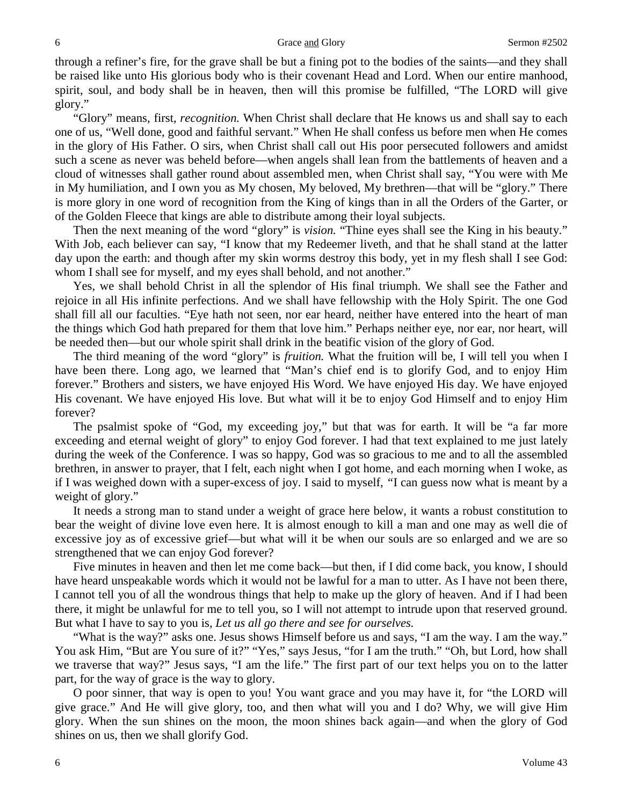#### 6 German +2502 Grace and Glory Sermon +2502

through a refiner's fire, for the grave shall be but a fining pot to the bodies of the saints—and they shall be raised like unto His glorious body who is their covenant Head and Lord. When our entire manhood, spirit, soul, and body shall be in heaven, then will this promise be fulfilled, "The LORD will give glory."

"Glory" means, first, *recognition.* When Christ shall declare that He knows us and shall say to each one of us, "Well done, good and faithful servant." When He shall confess us before men when He comes in the glory of His Father. O sirs, when Christ shall call out His poor persecuted followers and amidst such a scene as never was beheld before—when angels shall lean from the battlements of heaven and a cloud of witnesses shall gather round about assembled men, when Christ shall say, "You were with Me in My humiliation, and I own you as My chosen, My beloved, My brethren—that will be "glory." There is more glory in one word of recognition from the King of kings than in all the Orders of the Garter, or of the Golden Fleece that kings are able to distribute among their loyal subjects.

Then the next meaning of the word "glory" is *vision.* "Thine eyes shall see the King in his beauty." With Job, each believer can say, "I know that my Redeemer liveth, and that he shall stand at the latter day upon the earth: and though after my skin worms destroy this body, yet in my flesh shall I see God: whom I shall see for myself, and my eyes shall behold, and not another."

Yes, we shall behold Christ in all the splendor of His final triumph. We shall see the Father and rejoice in all His infinite perfections. And we shall have fellowship with the Holy Spirit. The one God shall fill all our faculties. "Eye hath not seen, nor ear heard, neither have entered into the heart of man the things which God hath prepared for them that love him." Perhaps neither eye, nor ear, nor heart, will be needed then—but our whole spirit shall drink in the beatific vision of the glory of God.

The third meaning of the word "glory" is *fruition.* What the fruition will be, I will tell you when I have been there. Long ago, we learned that "Man's chief end is to glorify God, and to enjoy Him forever." Brothers and sisters, we have enjoyed His Word. We have enjoyed His day. We have enjoyed His covenant. We have enjoyed His love. But what will it be to enjoy God Himself and to enjoy Him forever?

The psalmist spoke of "God, my exceeding joy," but that was for earth. It will be "a far more exceeding and eternal weight of glory" to enjoy God forever. I had that text explained to me just lately during the week of the Conference. I was so happy, God was so gracious to me and to all the assembled brethren, in answer to prayer, that I felt, each night when I got home, and each morning when I woke, as if I was weighed down with a super-excess of joy. I said to myself, *"*I can guess now what is meant by a weight of glory."

It needs a strong man to stand under a weight of grace here below, it wants a robust constitution to bear the weight of divine love even here. It is almost enough to kill a man and one may as well die of excessive joy as of excessive grief—but what will it be when our souls are so enlarged and we are so strengthened that we can enjoy God forever?

Five minutes in heaven and then let me come back—but then, if I did come back, you know, I should have heard unspeakable words which it would not be lawful for a man to utter. As I have not been there, I cannot tell you of all the wondrous things that help to make up the glory of heaven. And if I had been there, it might be unlawful for me to tell you, so I will not attempt to intrude upon that reserved ground. But what I have to say to you is, *Let us all go there and see for ourselves.*

"What is the way?" asks one. Jesus shows Himself before us and says, "I am the way. I am the way." You ask Him, "But are You sure of it?" "Yes," says Jesus, "for I am the truth." "Oh, but Lord, how shall we traverse that way?" Jesus says, "I am the life." The first part of our text helps you on to the latter part, for the way of grace is the way to glory.

O poor sinner, that way is open to you! You want grace and you may have it, for "the LORD will give grace." And He will give glory, too, and then what will you and I do? Why, we will give Him glory. When the sun shines on the moon, the moon shines back again—and when the glory of God shines on us, then we shall glorify God.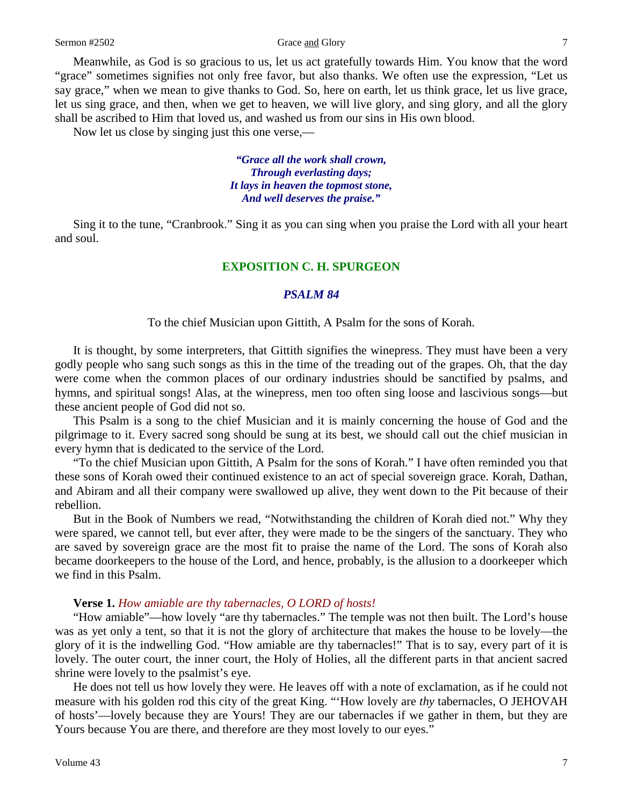### Sermon #2502 Grace <u>and</u> Glory 7

Meanwhile, as God is so gracious to us, let us act gratefully towards Him. You know that the word "grace" sometimes signifies not only free favor, but also thanks. We often use the expression, "Let us say grace," when we mean to give thanks to God. So, here on earth, let us think grace, let us live grace, let us sing grace, and then, when we get to heaven, we will live glory, and sing glory, and all the glory shall be ascribed to Him that loved us, and washed us from our sins in His own blood.

Now let us close by singing just this one verse,—

*"Grace all the work shall crown, Through everlasting days; It lays in heaven the topmost stone, And well deserves the praise."*

Sing it to the tune, "Cranbrook." Sing it as you can sing when you praise the Lord with all your heart and soul.

#### **EXPOSITION C. H. SPURGEON**

#### *PSALM 84*

To the chief Musician upon Gittith, A Psalm for the sons of Korah.

It is thought, by some interpreters, that Gittith signifies the winepress. They must have been a very godly people who sang such songs as this in the time of the treading out of the grapes. Oh, that the day were come when the common places of our ordinary industries should be sanctified by psalms, and hymns, and spiritual songs! Alas, at the winepress, men too often sing loose and lascivious songs—but these ancient people of God did not so.

This Psalm is a song to the chief Musician and it is mainly concerning the house of God and the pilgrimage to it. Every sacred song should be sung at its best, we should call out the chief musician in every hymn that is dedicated to the service of the Lord.

"To the chief Musician upon Gittith, A Psalm for the sons of Korah." I have often reminded you that these sons of Korah owed their continued existence to an act of special sovereign grace. Korah, Dathan, and Abiram and all their company were swallowed up alive, they went down to the Pit because of their rebellion.

But in the Book of Numbers we read, "Notwithstanding the children of Korah died not." Why they were spared, we cannot tell, but ever after, they were made to be the singers of the sanctuary. They who are saved by sovereign grace are the most fit to praise the name of the Lord. The sons of Korah also became doorkeepers to the house of the Lord, and hence, probably, is the allusion to a doorkeeper which we find in this Psalm.

#### **Verse 1.** *How amiable are thy tabernacles, O LORD of hosts!*

"How amiable"—how lovely "are thy tabernacles." The temple was not then built. The Lord's house was as yet only a tent, so that it is not the glory of architecture that makes the house to be lovely—the glory of it is the indwelling God. "How amiable are thy tabernacles!" That is to say, every part of it is lovely. The outer court, the inner court, the Holy of Holies, all the different parts in that ancient sacred shrine were lovely to the psalmist's eye.

He does not tell us how lovely they were. He leaves off with a note of exclamation, as if he could not measure with his golden rod this city of the great King. "'How lovely are *thy* tabernacles, O JEHOVAH of hosts'—lovely because they are Yours! They are our tabernacles if we gather in them, but they are Yours because You are there, and therefore are they most lovely to our eyes."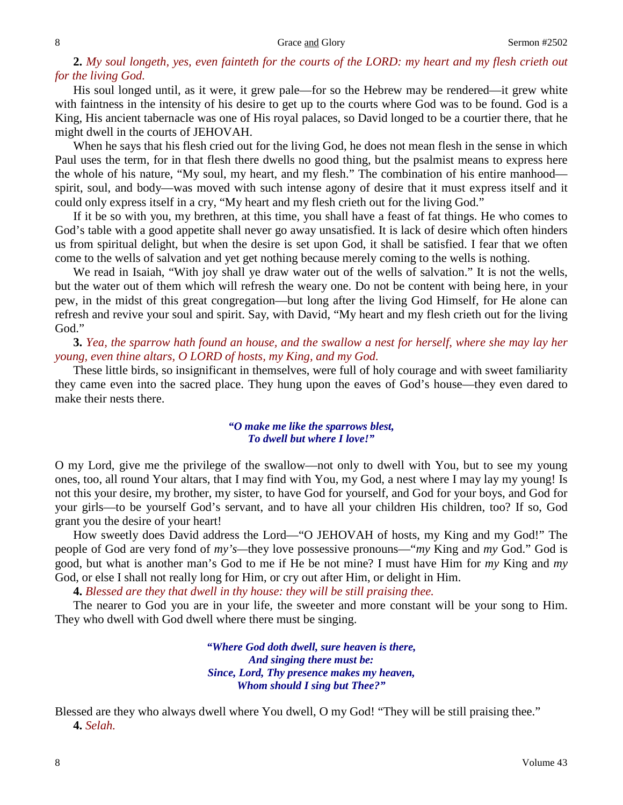# 2. My soul longeth, yes, even fainteth for the courts of the LORD: my heart and my flesh crieth out *for the living God.*

His soul longed until, as it were, it grew pale—for so the Hebrew may be rendered—it grew white with faintness in the intensity of his desire to get up to the courts where God was to be found. God is a King, His ancient tabernacle was one of His royal palaces, so David longed to be a courtier there, that he might dwell in the courts of JEHOVAH.

When he says that his flesh cried out for the living God, he does not mean flesh in the sense in which Paul uses the term, for in that flesh there dwells no good thing, but the psalmist means to express here the whole of his nature, "My soul, my heart, and my flesh." The combination of his entire manhood spirit, soul, and body—was moved with such intense agony of desire that it must express itself and it could only express itself in a cry, "My heart and my flesh crieth out for the living God."

If it be so with you, my brethren, at this time, you shall have a feast of fat things. He who comes to God's table with a good appetite shall never go away unsatisfied. It is lack of desire which often hinders us from spiritual delight, but when the desire is set upon God, it shall be satisfied. I fear that we often come to the wells of salvation and yet get nothing because merely coming to the wells is nothing.

We read in Isaiah, "With joy shall ye draw water out of the wells of salvation." It is not the wells, but the water out of them which will refresh the weary one. Do not be content with being here, in your pew, in the midst of this great congregation—but long after the living God Himself, for He alone can refresh and revive your soul and spirit. Say, with David, "My heart and my flesh crieth out for the living God."

**3.** Yea, the sparrow hath found an house, and the swallow a nest for herself, where she may lay her *young, even thine altars, O LORD of hosts, my King, and my God.*

These little birds, so insignificant in themselves, were full of holy courage and with sweet familiarity they came even into the sacred place. They hung upon the eaves of God's house—they even dared to make their nests there.

### *"O make me like the sparrows blest, To dwell but where I love!"*

O my Lord, give me the privilege of the swallow—not only to dwell with You, but to see my young ones, too, all round Your altars, that I may find with You, my God, a nest where I may lay my young! Is not this your desire, my brother, my sister, to have God for yourself, and God for your boys, and God for your girls—to be yourself God's servant, and to have all your children His children, too? If so, God grant you the desire of your heart!

How sweetly does David address the Lord—"O JEHOVAH of hosts, my King and my God!" The people of God are very fond of *my's—*they love possessive pronouns—"*my* King and *my* God." God is good, but what is another man's God to me if He be not mine? I must have Him for *my* King and *my* God, or else I shall not really long for Him, or cry out after Him, or delight in Him.

**4.** *Blessed are they that dwell in thy house: they will be still praising thee.*

The nearer to God you are in your life, the sweeter and more constant will be your song to Him. They who dwell with God dwell where there must be singing.

> *"Where God doth dwell, sure heaven is there, And singing there must be: Since, Lord, Thy presence makes my heaven, Whom should I sing but Thee?"*

Blessed are they who always dwell where You dwell, O my God! "They will be still praising thee." **4.** *Selah.*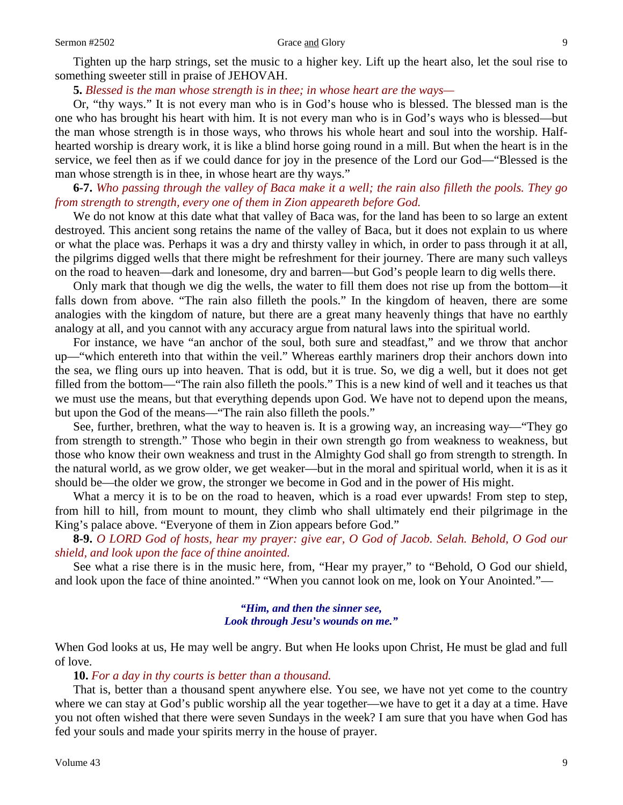#### Sermon #2502 Grace and Glory 9

Tighten up the harp strings, set the music to a higher key. Lift up the heart also, let the soul rise to something sweeter still in praise of JEHOVAH.

**5.** *Blessed is the man whose strength is in thee; in whose heart are the ways—*

Or, "thy ways." It is not every man who is in God's house who is blessed. The blessed man is the one who has brought his heart with him. It is not every man who is in God's ways who is blessed—but the man whose strength is in those ways, who throws his whole heart and soul into the worship. Halfhearted worship is dreary work, it is like a blind horse going round in a mill. But when the heart is in the service, we feel then as if we could dance for joy in the presence of the Lord our God—"Blessed is the man whose strength is in thee, in whose heart are thy ways."

**6-7.** Who passing through the valley of Baca make it a well; the rain also filleth the pools. They go *from strength to strength, every one of them in Zion appeareth before God.*

We do not know at this date what that valley of Baca was, for the land has been to so large an extent destroyed. This ancient song retains the name of the valley of Baca, but it does not explain to us where or what the place was. Perhaps it was a dry and thirsty valley in which, in order to pass through it at all, the pilgrims digged wells that there might be refreshment for their journey. There are many such valleys on the road to heaven—dark and lonesome, dry and barren—but God's people learn to dig wells there.

Only mark that though we dig the wells, the water to fill them does not rise up from the bottom—it falls down from above. "The rain also filleth the pools." In the kingdom of heaven, there are some analogies with the kingdom of nature, but there are a great many heavenly things that have no earthly analogy at all, and you cannot with any accuracy argue from natural laws into the spiritual world.

For instance, we have "an anchor of the soul, both sure and steadfast," and we throw that anchor up—"which entereth into that within the veil." Whereas earthly mariners drop their anchors down into the sea, we fling ours up into heaven. That is odd, but it is true. So, we dig a well, but it does not get filled from the bottom—"The rain also filleth the pools." This is a new kind of well and it teaches us that we must use the means, but that everything depends upon God. We have not to depend upon the means, but upon the God of the means—"The rain also filleth the pools."

See, further, brethren, what the way to heaven is. It is a growing way, an increasing way—"They go from strength to strength." Those who begin in their own strength go from weakness to weakness, but those who know their own weakness and trust in the Almighty God shall go from strength to strength. In the natural world, as we grow older, we get weaker—but in the moral and spiritual world, when it is as it should be—the older we grow, the stronger we become in God and in the power of His might.

What a mercy it is to be on the road to heaven, which is a road ever upwards! From step to step, from hill to hill, from mount to mount, they climb who shall ultimately end their pilgrimage in the King's palace above. "Everyone of them in Zion appears before God."

8-9. O LORD God of hosts, hear my prayer: give ear, O God of Jacob. Selah. Behold, O God our *shield, and look upon the face of thine anointed.*

See what a rise there is in the music here, from, "Hear my prayer," to "Behold, O God our shield, and look upon the face of thine anointed." "When you cannot look on me, look on Your Anointed."—

### *"Him, and then the sinner see, Look through Jesu's wounds on me."*

When God looks at us, He may well be angry. But when He looks upon Christ, He must be glad and full of love.

### **10.** *For a day in thy courts is better than a thousand.*

That is, better than a thousand spent anywhere else. You see, we have not yet come to the country where we can stay at God's public worship all the year together—we have to get it a day at a time. Have you not often wished that there were seven Sundays in the week? I am sure that you have when God has fed your souls and made your spirits merry in the house of prayer.